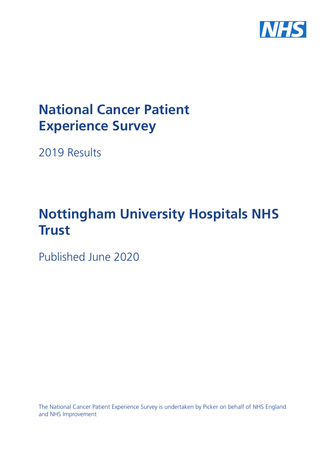

# **National Cancer Patient Experience Survey**

2019 Results

# **Nottingham University Hospitals NHS Trust**

Published June 2020

The National Cancer Patient Experience Survey is undertaken by Picker on behalf of NHS England and NHS Improvement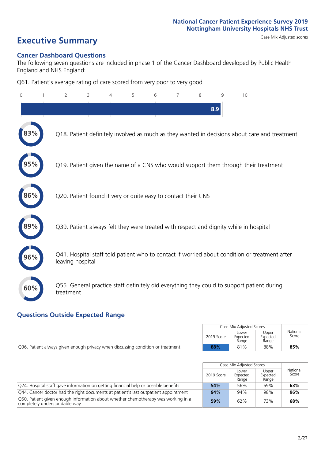# **Executive Summary** Case Mix Adjusted scores

#### **Cancer Dashboard Questions**

The following seven questions are included in phase 1 of the Cancer Dashboard developed by Public Health England and NHS England:

Q61. Patient's average rating of care scored from very poor to very good

| 0   | $\overline{2}$                                                | 3 | 5 | 6 | 7 | 8 | 9   | 10                                                                                            |  |
|-----|---------------------------------------------------------------|---|---|---|---|---|-----|-----------------------------------------------------------------------------------------------|--|
|     |                                                               |   |   |   |   |   | 8.9 |                                                                                               |  |
|     |                                                               |   |   |   |   |   |     | Q18. Patient definitely involved as much as they wanted in decisions about care and treatment |  |
|     |                                                               |   |   |   |   |   |     | Q19. Patient given the name of a CNS who would support them through their treatment           |  |
| 86% | Q20. Patient found it very or quite easy to contact their CNS |   |   |   |   |   |     |                                                                                               |  |
|     |                                                               |   |   |   |   |   |     | Q39. Patient always felt they were treated with respect and dignity while in hospital         |  |
| 96% | leaving hospital                                              |   |   |   |   |   |     | Q41. Hospital staff told patient who to contact if worried about condition or treatment after |  |
| 60% | treatment                                                     |   |   |   |   |   |     | Q55. General practice staff definitely did everything they could to support patient during    |  |

### **Questions Outside Expected Range**

|                                                                                 |            | Case Mix Adiusted Scores   |                            |                   |
|---------------------------------------------------------------------------------|------------|----------------------------|----------------------------|-------------------|
|                                                                                 | 2019 Score | Lower<br>Expected<br>Range | Upper<br>Expected<br>Range | National<br>Score |
| Q36. Patient always given enough privacy when discussing condition or treatment | 88%        | 81%                        | 88%                        | 85%               |

|                                                                                                                    |            | Case Mix Adjusted Scores   |                            |                   |
|--------------------------------------------------------------------------------------------------------------------|------------|----------------------------|----------------------------|-------------------|
|                                                                                                                    | 2019 Score | Lower<br>Expected<br>Range | Upper<br>Expected<br>Range | National<br>Score |
| Q24. Hospital staff gave information on getting financial help or possible benefits                                | 54%        | 56%                        | 69%                        | 63%               |
| Q44. Cancer doctor had the right documents at patient's last outpatient appointment                                | 94%        | 94%                        | 98%                        | 96%               |
| O50. Patient given enough information about whether chemotherapy was working in a<br>completely understandable way | 59%        | 62%                        | 73%                        | 68%               |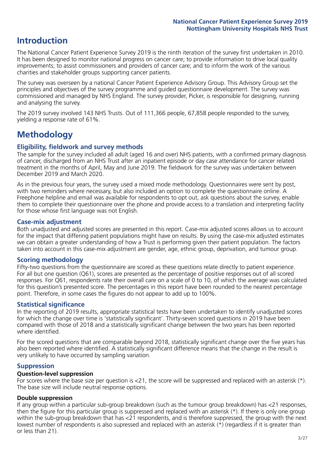# **Introduction**

The National Cancer Patient Experience Survey 2019 is the ninth iteration of the survey first undertaken in 2010. It has been designed to monitor national progress on cancer care; to provide information to drive local quality improvements; to assist commissioners and providers of cancer care; and to inform the work of the various charities and stakeholder groups supporting cancer patients.

The survey was overseen by a national Cancer Patient Experience Advisory Group. This Advisory Group set the principles and objectives of the survey programme and guided questionnaire development. The survey was commissioned and managed by NHS England. The survey provider, Picker, is responsible for designing, running and analysing the survey.

The 2019 survey involved 143 NHS Trusts. Out of 111,366 people, 67,858 people responded to the survey, yielding a response rate of 61%.

# **Methodology**

#### **Eligibility, eldwork and survey methods**

The sample for the survey included all adult (aged 16 and over) NHS patients, with a confirmed primary diagnosis of cancer, discharged from an NHS Trust after an inpatient episode or day case attendance for cancer related treatment in the months of April, May and June 2019. The fieldwork for the survey was undertaken between December 2019 and March 2020.

As in the previous four years, the survey used a mixed mode methodology. Questionnaires were sent by post, with two reminders where necessary, but also included an option to complete the questionnaire online. A Freephone helpline and email was available for respondents to opt out, ask questions about the survey, enable them to complete their questionnaire over the phone and provide access to a translation and interpreting facility for those whose first language was not English.

#### **Case-mix adjustment**

Both unadjusted and adjusted scores are presented in this report. Case-mix adjusted scores allows us to account for the impact that differing patient populations might have on results. By using the case-mix adjusted estimates we can obtain a greater understanding of how a Trust is performing given their patient population. The factors taken into account in this case-mix adjustment are gender, age, ethnic group, deprivation, and tumour group.

#### **Scoring methodology**

Fifty-two questions from the questionnaire are scored as these questions relate directly to patient experience. For all but one question (Q61), scores are presented as the percentage of positive responses out of all scored responses. For Q61, respondents rate their overall care on a scale of 0 to 10, of which the average was calculated for this question's presented score. The percentages in this report have been rounded to the nearest percentage point. Therefore, in some cases the figures do not appear to add up to 100%.

#### **Statistical significance**

In the reporting of 2019 results, appropriate statistical tests have been undertaken to identify unadjusted scores for which the change over time is 'statistically significant'. Thirty-seven scored questions in 2019 have been compared with those of 2018 and a statistically significant change between the two years has been reported where identified.

For the scored questions that are comparable beyond 2018, statistically significant change over the five years has also been reported where identified. A statistically significant difference means that the change in the result is very unlikely to have occurred by sampling variation.

#### **Suppression**

#### **Question-level suppression**

For scores where the base size per question is  $<$ 21, the score will be suppressed and replaced with an asterisk (\*). The base size will include neutral response options.

#### **Double suppression**

If any group within a particular sub-group breakdown (such as the tumour group breakdown) has <21 responses, then the figure for this particular group is suppressed and replaced with an asterisk (\*). If there is only one group within the sub-group breakdown that has <21 respondents, and is therefore suppressed, the group with the next lowest number of respondents is also supressed and replaced with an asterisk (\*) (regardless if it is greater than or less than 21).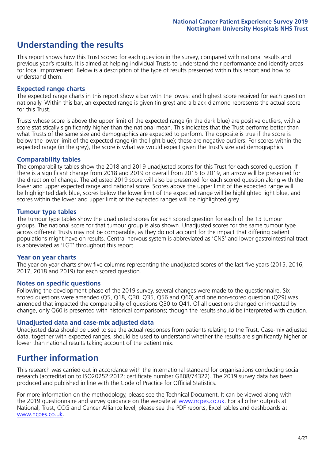# **Understanding the results**

This report shows how this Trust scored for each question in the survey, compared with national results and previous year's results. It is aimed at helping individual Trusts to understand their performance and identify areas for local improvement. Below is a description of the type of results presented within this report and how to understand them.

#### **Expected range charts**

The expected range charts in this report show a bar with the lowest and highest score received for each question nationally. Within this bar, an expected range is given (in grey) and a black diamond represents the actual score for this Trust.

Trusts whose score is above the upper limit of the expected range (in the dark blue) are positive outliers, with a score statistically significantly higher than the national mean. This indicates that the Trust performs better than what Trusts of the same size and demographics are expected to perform. The opposite is true if the score is below the lower limit of the expected range (in the light blue); these are negative outliers. For scores within the expected range (in the grey), the score is what we would expect given the Trust's size and demographics.

#### **Comparability tables**

The comparability tables show the 2018 and 2019 unadjusted scores for this Trust for each scored question. If there is a significant change from 2018 and 2019 or overall from 2015 to 2019, an arrow will be presented for the direction of change. The adjusted 2019 score will also be presented for each scored question along with the lower and upper expected range and national score. Scores above the upper limit of the expected range will be highlighted dark blue, scores below the lower limit of the expected range will be highlighted light blue, and scores within the lower and upper limit of the expected ranges will be highlighted grey.

#### **Tumour type tables**

The tumour type tables show the unadjusted scores for each scored question for each of the 13 tumour groups. The national score for that tumour group is also shown. Unadjusted scores for the same tumour type across different Trusts may not be comparable, as they do not account for the impact that differing patient populations might have on results. Central nervous system is abbreviated as 'CNS' and lower gastrointestinal tract is abbreviated as 'LGT' throughout this report.

#### **Year on year charts**

The year on year charts show five columns representing the unadjusted scores of the last five years (2015, 2016, 2017, 2018 and 2019) for each scored question.

#### **Notes on specific questions**

Following the development phase of the 2019 survey, several changes were made to the questionnaire. Six scored questions were amended (Q5, Q18, Q30, Q35, Q56 and Q60) and one non-scored question (Q29) was amended that impacted the comparability of questions Q30 to Q41. Of all questions changed or impacted by change, only Q60 is presented with historical comparisons; though the results should be interpreted with caution.

#### **Unadjusted data and case-mix adjusted data**

Unadjusted data should be used to see the actual responses from patients relating to the Trust. Case-mix adjusted data, together with expected ranges, should be used to understand whether the results are significantly higher or lower than national results taking account of the patient mix.

### **Further information**

This research was carried out in accordance with the international standard for organisations conducting social research (accreditation to ISO20252:2012; certificate number GB08/74322). The 2019 survey data has been produced and published in line with the Code of Practice for Official Statistics.

For more information on the methodology, please see the Technical Document. It can be viewed along with the 2019 questionnaire and survey quidance on the website at [www.ncpes.co.uk](https://www.ncpes.co.uk/supporting-documents). For all other outputs at National, Trust, CCG and Cancer Alliance level, please see the PDF reports, Excel tables and dashboards at [www.ncpes.co.uk.](https://www.ncpes.co.uk/current-results)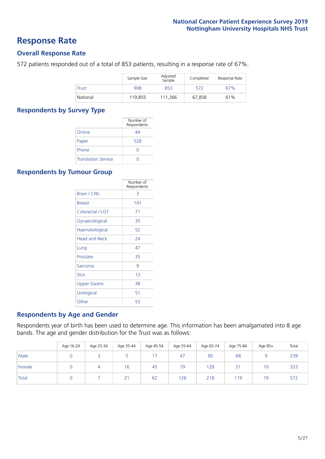### **Response Rate**

#### **Overall Response Rate**

572 patients responded out of a total of 853 patients, resulting in a response rate of 67%.

|              | Sample Size | Adjusted<br>Sample | Completed | Response Rate |
|--------------|-------------|--------------------|-----------|---------------|
| <b>Trust</b> | 908         | 853                | 572       | 67%           |
| National     | 119,855     | 111.366            | 67.858    | 61%           |

#### **Respondents by Survey Type**

|                            | Number of<br>Respondents |
|----------------------------|--------------------------|
| Online                     | 44                       |
| Paper                      | 528                      |
| Phone                      | $\left( \right)$         |
| <b>Translation Service</b> |                          |

#### **Respondents by Tumour Group**

|                      | Number of<br>Respondents |
|----------------------|--------------------------|
| <b>Brain / CNS</b>   | 3                        |
| <b>Breast</b>        | 141                      |
| Colorectal / LGT     | 71                       |
| Gynaecological       | 35                       |
| Haematological       | 52                       |
| <b>Head and Neck</b> | 24                       |
| Lung                 | 47                       |
| Prostate             | 35                       |
| Sarcoma              | 9                        |
| Skin                 | 1 <sub>3</sub>           |
| Upper Gastro         | 38                       |
| Urological           | 51                       |
| Other                | 53                       |

#### **Respondents by Age and Gender**

Respondents year of birth has been used to determine age. This information has been amalgamated into 8 age bands. The age and gender distribution for the Trust was as follows:

|        | Age 16-24 | Age 25-34 | Age 35-44 | Age 45-54 | Age 55-64 | Age 65-74 | Age 75-84         | Age 85+ | Total |
|--------|-----------|-----------|-----------|-----------|-----------|-----------|-------------------|---------|-------|
| Male   |           |           |           |           | 47        | 90        | 68                |         | 239   |
| Female |           |           | 16        | 45        | 79        | 128       | $\mathbf{r}$<br>כ | 10      | 333   |
| Total  |           |           | 21        | 62        | 126       | 218       | 119               | 19      | 572   |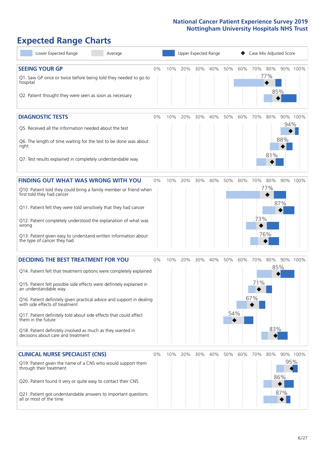# **Expected Range Charts**

| Lower Expected Range<br>Average                                                                                                                                                                                                                                                                                                                                                                                                                                                                                             |       |     | Upper Expected Range |     |     |            |     |                   |                   | Case Mix Adjusted Score |          |
|-----------------------------------------------------------------------------------------------------------------------------------------------------------------------------------------------------------------------------------------------------------------------------------------------------------------------------------------------------------------------------------------------------------------------------------------------------------------------------------------------------------------------------|-------|-----|----------------------|-----|-----|------------|-----|-------------------|-------------------|-------------------------|----------|
| <b>SEEING YOUR GP</b><br>Q1. Saw GP once or twice before being told they needed to go to<br>hospital<br>Q2. Patient thought they were seen as soon as necessary                                                                                                                                                                                                                                                                                                                                                             | $0\%$ | 10% | 20%                  | 30% | 40% | 50%        | 60% | 70%               | 80%<br>77%        | 85%                     | 90% 100% |
| <b>DIAGNOSTIC TESTS</b><br>Q5. Received all the information needed about the test<br>Q6. The length of time waiting for the test to be done was about<br>right<br>Q7. Test results explained in completely understandable way                                                                                                                                                                                                                                                                                               | $0\%$ | 10% | 20%                  | 30% | 40% | 50%        | 60% | 70%               | 80%<br>81%        | 94%<br>88%              | 90% 100% |
| <b>FINDING OUT WHAT WAS WRONG WITH YOU</b><br>Q10. Patient told they could bring a family member or friend when<br>first told they had cancer<br>Q11. Patient felt they were told sensitively that they had cancer<br>Q12. Patient completely understood the explanation of what was<br>wrong<br>Q13. Patient given easy to understand written information about<br>the type of cancer they had                                                                                                                             | $0\%$ | 10% | 20%                  | 30% | 40% | 50%        | 60% | 70%<br>73%        | 80%<br>77%<br>76% | 87%                     | 90% 100% |
| <b>DECIDING THE BEST TREATMENT FOR YOU</b><br>Q14. Patient felt that treatment options were completely explained<br>Q15. Patient felt possible side effects were definitely explained in<br>an understandable way<br>Q16. Patient definitely given practical advice and support in dealing<br>with side effects of treatment<br>Q17. Patient definitely told about side effects that could affect<br>them in the future<br>Q18. Patient definitely involved as much as they wanted in<br>decisions about care and treatment | 0%    | 10% | 20%                  | 30% | 40% | 50%<br>54% | 60% | 70%<br>71%<br>67% | 80%<br>83%        | 85%                     | 90% 100% |
| <b>CLINICAL NURSE SPECIALIST (CNS)</b><br>Q19. Patient given the name of a CNS who would support them<br>through their treatment<br>Q20. Patient found it very or quite easy to contact their CNS<br>Q21. Patient got understandable answers to important questions<br>all or most of the time                                                                                                                                                                                                                              | 0%    | 10% | 20%                  | 30% | 40% | 50%        | 60% | 70%               | 80%               | 95%<br>86%<br>87%       | 90% 100% |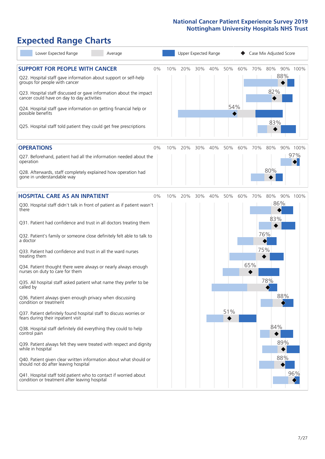# **Expected Range Charts**

| Lower Expected Range<br>Average                                                                                                                                                                                                                                                                                                                                                                                               |    |     | Upper Expected Range |     |     |            |     |     | Case Mix Adjusted Score |     |          |
|-------------------------------------------------------------------------------------------------------------------------------------------------------------------------------------------------------------------------------------------------------------------------------------------------------------------------------------------------------------------------------------------------------------------------------|----|-----|----------------------|-----|-----|------------|-----|-----|-------------------------|-----|----------|
| <b>SUPPORT FOR PEOPLE WITH CANCER</b><br>Q22. Hospital staff gave information about support or self-help<br>groups for people with cancer<br>Q23. Hospital staff discussed or gave information about the impact<br>cancer could have on day to day activities<br>Q24. Hospital staff gave information on getting financial help or<br>possible benefits<br>Q25. Hospital staff told patient they could get free prescriptions | 0% | 10% | 20%                  | 30% | 40% | 50%<br>54% | 60% | 70% | 80%<br>82%<br>83%       | 88% | 90% 100% |
| <b>OPERATIONS</b>                                                                                                                                                                                                                                                                                                                                                                                                             | 0% | 10% | 20%                  | 30% | 40% | 50%        | 60% | 70% | 80%                     |     | 90% 100% |
| Q27. Beforehand, patient had all the information needed about the<br>operation                                                                                                                                                                                                                                                                                                                                                |    |     |                      |     |     |            |     |     |                         |     | 97%      |
| Q28. Afterwards, staff completely explained how operation had<br>gone in understandable way                                                                                                                                                                                                                                                                                                                                   |    |     |                      |     |     |            |     |     | 80%                     |     |          |
| <b>HOSPITAL CARE AS AN INPATIENT</b>                                                                                                                                                                                                                                                                                                                                                                                          | 0% | 10% | 20%                  | 30% | 40% | 50%        | 60% | 70% | 80%                     |     | 90% 100% |
| Q30. Hospital staff didn't talk in front of patient as if patient wasn't<br>there                                                                                                                                                                                                                                                                                                                                             |    |     |                      |     |     |            |     |     | 86%<br>83%              |     |          |
| Q31. Patient had confidence and trust in all doctors treating them                                                                                                                                                                                                                                                                                                                                                            |    |     |                      |     |     |            |     |     |                         |     |          |
| Q32. Patient's family or someone close definitely felt able to talk to<br>a doctor                                                                                                                                                                                                                                                                                                                                            |    |     |                      |     |     |            |     |     | 76%                     |     |          |
| Q33. Patient had confidence and trust in all the ward nurses<br>treating them                                                                                                                                                                                                                                                                                                                                                 |    |     |                      |     |     |            |     |     | 75%                     |     |          |
| Q34. Patient thought there were always or nearly always enough<br>nurses on duty to care for them                                                                                                                                                                                                                                                                                                                             |    |     |                      |     |     |            |     | 65% |                         |     |          |
| Q35. All hospital staff asked patient what name they prefer to be<br>called by                                                                                                                                                                                                                                                                                                                                                |    |     |                      |     |     |            |     |     | 78%                     |     |          |
| Q36. Patient always given enough privacy when discussing<br>condition or treatment                                                                                                                                                                                                                                                                                                                                            |    |     |                      |     |     |            |     |     |                         | 88% |          |
| Q37. Patient definitely found hospital staff to discuss worries or<br>fears during their inpatient visit                                                                                                                                                                                                                                                                                                                      |    |     |                      |     |     | 51%        |     |     |                         |     |          |
| Q38. Hospital staff definitely did everything they could to help<br>control pain                                                                                                                                                                                                                                                                                                                                              |    |     |                      |     |     |            |     |     | 84%                     |     |          |
| Q39. Patient always felt they were treated with respect and dignity<br>while in hospital                                                                                                                                                                                                                                                                                                                                      |    |     |                      |     |     |            |     |     |                         | 89% |          |
| Q40. Patient given clear written information about what should or<br>should not do after leaving hospital                                                                                                                                                                                                                                                                                                                     |    |     |                      |     |     |            |     |     |                         | 88% |          |
| Q41. Hospital staff told patient who to contact if worried about<br>condition or treatment after leaving hospital                                                                                                                                                                                                                                                                                                             |    |     |                      |     |     |            |     |     |                         |     | 96%      |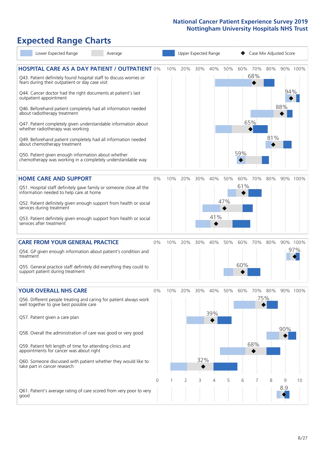# **Expected Range Charts**

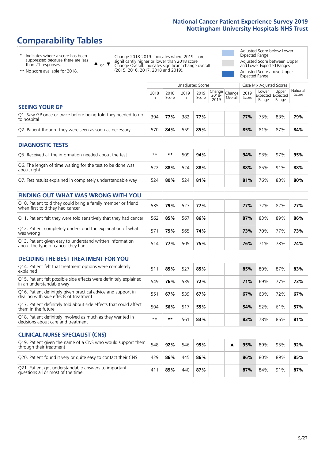# **Comparability Tables**

**CLINICAL NURSE SPECIALIST (CNS)**

\* Indicates where a score has been suppressed because there are less than 21 responses.

\*\* No score available for 2018.

or  $\blacktriangledown$  $\blacktriangle$ 

Change 2018-2019: Indicates where 2019 score is significantly higher or lower than 2018 score Change Overall: Indicates significant change overall (2015, 2016, 2017, 2018 and 2019).

Adjusted Score below Lower Expected Range Adjusted Score between Upper and Lower Expected Ranges Adjusted Score above Upper Expected Range

|                                                                             |           | Case Mix Adjusted Scores<br>Unadjusted Scores |           |               |                                               |         |               |                |                                     |                   |
|-----------------------------------------------------------------------------|-----------|-----------------------------------------------|-----------|---------------|-----------------------------------------------|---------|---------------|----------------|-------------------------------------|-------------------|
|                                                                             | 2018<br>n | 2018<br>Score                                 | 2019<br>n | 2019<br>Score | $\sqrt{C}$   Change   $\sim$<br>2018-<br>2019 | Overall | 2019<br>Score | Lower<br>Range | Upper<br>Expected Expected<br>Range | National<br>Score |
| <b>SEEING YOUR GP</b>                                                       |           |                                               |           |               |                                               |         |               |                |                                     |                   |
| Q1. Saw GP once or twice before being told they needed to go<br>to hospital | 394       | 77%                                           | 382       | 77%           |                                               |         | <b>77%</b>    | 75%            | 83%                                 | 79%               |
| Q2. Patient thought they were seen as soon as necessary                     | 570       | 84%                                           | 559       | 85%           |                                               |         | 85%           | 81%            | 87%                                 | 84%               |
| <b>DIAGNOSTIC TESTS</b>                                                     |           |                                               |           |               |                                               |         |               |                |                                     |                   |

| -----------------                                                         |      |     |     |     |  |     |     |     |     |
|---------------------------------------------------------------------------|------|-----|-----|-----|--|-----|-----|-----|-----|
| Q5. Received all the information needed about the test                    | $**$ | **  | 509 | 94% |  | 94% | 93% | 97% | 95% |
| Q6. The length of time waiting for the test to be done was<br>about right | 522  | 88% | 524 | 88% |  | 88% | 85% | 91% | 88% |
| Q7. Test results explained in completely understandable way               | 524  | 80% | 524 | 81% |  | 81% | 76% | 83% | 80% |

#### **FINDING OUT WHAT WAS WRONG WITH YOU** Q10. Patient told they could bring a family member or friend when first told they had cancer <sup>535</sup> **79%** <sup>527</sup> **77% 77%** 72% 82% **77%** Q11. Patient felt they were told sensitively that they had cancer 562 **85%** 567 **86% 87%** 83% 89% **86%** Q12. Patient completely understood the explanation of what was wrong 571 **75%** 565 **74% 73%** 70% 77% **73%** Q13. Patient given easy to understand written information about the type of cancer they had <sup>514</sup> **77%** <sup>505</sup> **75% 76%** 71% 78% **74%**

| <b>DECIDING THE BEST TREATMENT FOR YOU</b>                                                              |      |     |     |     |     |     |     |     |
|---------------------------------------------------------------------------------------------------------|------|-----|-----|-----|-----|-----|-----|-----|
| Q14. Patient felt that treatment options were completely<br>explained                                   | 511  | 85% | 527 | 85% | 85% | 80% | 87% | 83% |
| Q15. Patient felt possible side effects were definitely explained<br>in an understandable way           | 549  | 76% | 539 | 72% | 71% | 69% | 77% | 73% |
| Q16. Patient definitely given practical advice and support in<br>dealing with side effects of treatment | 551  | 67% | 539 | 67% | 67% | 63% | 72% | 67% |
| Q17. Patient definitely told about side effects that could affect<br>them in the future                 | 504  | 56% | 517 | 55% | 54% | 52% | 61% | 57% |
| Q18. Patient definitely involved as much as they wanted in<br>decisions about care and treatment        | $**$ | **  | 561 | 83% | 83% | 78% | 85% | 81% |

| <b>CLINICAL NURSE SPECIALIST (CNS)</b>                                                    |     |     |     |     |  |     |     |     |     |
|-------------------------------------------------------------------------------------------|-----|-----|-----|-----|--|-----|-----|-----|-----|
| Q19. Patient given the name of a CNS who would support them<br>through their treatment    | 548 | 92% | 546 | 95% |  | 95% | 89% | 95% | 92% |
| Q20. Patient found it very or quite easy to contact their CNS                             | 429 | 86% | 445 | 86% |  | 86% | 80% | 89% | 85% |
| Q21. Patient got understandable answers to important<br>questions all or most of the time | 41  | 89% | 440 | 87% |  | 87% | 84% | 91% | 87% |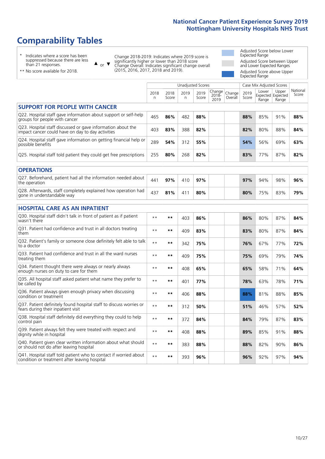# **Comparability Tables**

\* Indicates where a score has been suppressed because there are less than 21 responses.

\*\* No score available for 2018.

 $\triangle$  or  $\nabla$ 

Change 2018-2019: Indicates where 2019 score is significantly higher or lower than 2018 score Change Overall: Indicates significant change overall (2015, 2016, 2017, 2018 and 2019).

Adjusted Score below Lower Expected Range Adjusted Score between Upper and Lower Expected Ranges Adjusted Score above Upper Expected Range

|                                                                                                                   |                      |               | <b>Unadjusted Scores</b> |               |                         |                   |               | Case Mix Adjusted Scores            |                |                   |
|-------------------------------------------------------------------------------------------------------------------|----------------------|---------------|--------------------------|---------------|-------------------------|-------------------|---------------|-------------------------------------|----------------|-------------------|
|                                                                                                                   | 2018<br>$\mathsf{n}$ | 2018<br>Score | 2019<br>n                | 2019<br>Score | Change<br>2018-<br>2019 | Change<br>Overall | 2019<br>Score | Lower<br>Expected Expected<br>Range | Upper<br>Range | National<br>Score |
| <b>SUPPORT FOR PEOPLE WITH CANCER</b>                                                                             |                      |               |                          |               |                         |                   |               |                                     |                |                   |
| Q22. Hospital staff gave information about support or self-help<br>groups for people with cancer                  | 465                  | 86%           | 482                      | 88%           |                         |                   | 88%           | 85%                                 | 91%            | 88%               |
| Q23. Hospital staff discussed or gave information about the<br>impact cancer could have on day to day activities  | 403                  | 83%           | 388                      | 82%           |                         |                   | 82%           | 80%                                 | 88%            | 84%               |
| Q24. Hospital staff gave information on getting financial help or<br>possible benefits                            | 289                  | 54%           | 312                      | 55%           |                         |                   | 54%           | 56%                                 | 69%            | 63%               |
| Q25. Hospital staff told patient they could get free prescriptions                                                | 255                  | 80%           | 268                      | 82%           |                         |                   | 83%           | 77%                                 | 87%            | 82%               |
| <b>OPERATIONS</b>                                                                                                 |                      |               |                          |               |                         |                   |               |                                     |                |                   |
| Q27. Beforehand, patient had all the information needed about<br>the operation                                    | 441                  | 97%           | 410                      | 97%           |                         |                   | 97%           | 94%                                 | 98%            | 96%               |
| Q28. Afterwards, staff completely explained how operation had<br>gone in understandable way                       | 437                  | 81%           | 411                      | 80%           |                         |                   | 80%           | 75%                                 | 83%            | 79%               |
| <b>HOSPITAL CARE AS AN INPATIENT</b>                                                                              |                      |               |                          |               |                         |                   |               |                                     |                |                   |
| Q30. Hospital staff didn't talk in front of patient as if patient<br>wasn't there                                 | $* *$                | $***$         | 403                      | 86%           |                         |                   | 86%           | 80%                                 | 87%            | 84%               |
| Q31. Patient had confidence and trust in all doctors treating<br>them                                             | $**$                 | $***$         | 409                      | 83%           |                         |                   | 83%           | 80%                                 | 87%            | 84%               |
| Q32. Patient's family or someone close definitely felt able to talk<br>to a doctor                                | $* *$                | $***$         | 342                      | 75%           |                         |                   | 76%           | 67%                                 | 77%            | 72%               |
| O33. Patient had confidence and trust in all the ward nurses<br>treating them                                     | $\star\star$         | **            | 409                      | 75%           |                         |                   | 75%           | 69%                                 | 79%            | 74%               |
| Q34. Patient thought there were always or nearly always<br>enough nurses on duty to care for them                 | $**$                 | $***$         | 408                      | 65%           |                         |                   | 65%           | 58%                                 | 71%            | 64%               |
| Q35. All hospital staff asked patient what name they prefer to<br>be called by                                    | $**$                 | $***$         | 401                      | 77%           |                         |                   | 78%           | 63%                                 | 78%            | 71%               |
| Q36. Patient always given enough privacy when discussing<br>condition or treatment                                | $* *$                | $***$         | 406                      | 88%           |                         |                   | 88%           | 81%                                 | 88%            | 85%               |
| Q37. Patient definitely found hospital staff to discuss worries or<br>fears during their inpatient visit          | $* *$                | **            | 312                      | 50%           |                         |                   | 51%           | 46%                                 | 57%            | 52%               |
| Q38. Hospital staff definitely did everything they could to help<br>control pain                                  | $* *$                | $***$         | 372                      | 84%           |                         |                   | 84%           | 79%                                 | 87%            | 83%               |
| Q39. Patient always felt they were treated with respect and<br>dignity while in hospital                          | $* *$                | $***$         | 408                      | 88%           |                         |                   | 89%           | 85%                                 | 91%            | 88%               |
| Q40. Patient given clear written information about what should<br>or should not do after leaving hospital         | $* *$                | $***$         | 383                      | 88%           |                         |                   | 88%           | 82%                                 | 90%            | 86%               |
| Q41. Hospital staff told patient who to contact if worried about<br>condition or treatment after leaving hospital | $**$                 | **            | 393                      | 96%           |                         |                   | 96%           | 92%                                 | 97%            | 94%               |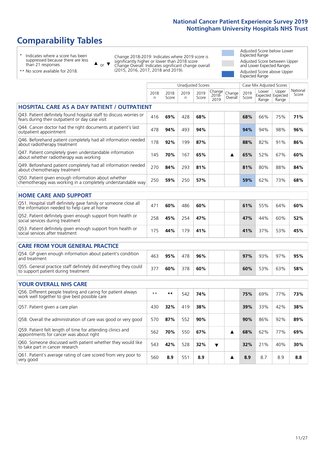# **Comparability Tables**

\* Indicates where a score has been suppressed because there are less than 21 responses.

\*\* No score available for 2018.

 $\triangle$  or  $\nabla$ 

Change 2018-2019: Indicates where 2019 score is significantly higher or lower than 2018 score Change Overall: Indicates significant change overall (2015, 2016, 2017, 2018 and 2019).

Adjusted Score below Lower Expected Range Adjusted Score between Upper and Lower Expected Ranges Adjusted Score above Upper Expected Range

|                                                                                                                       |              |               |            | Unadjusted Scores |                         |                   |               | Case Mix Adjusted Scores |                                     |                   |
|-----------------------------------------------------------------------------------------------------------------------|--------------|---------------|------------|-------------------|-------------------------|-------------------|---------------|--------------------------|-------------------------------------|-------------------|
|                                                                                                                       | 2018<br>n    | 2018<br>Score | 2019<br>n. | 2019<br>Score     | Change<br>2018-<br>2019 | Change<br>Overall | 2019<br>Score | Lower<br>Range           | Upper<br>Expected Expected<br>Range | National<br>Score |
| <b>HOSPITAL CARE AS A DAY PATIENT / OUTPATIENT</b>                                                                    |              |               |            |                   |                         |                   |               |                          |                                     |                   |
| Q43. Patient definitely found hospital staff to discuss worries or<br>fears during their outpatient or day case visit | 416          | 69%           | 428        | 68%               |                         |                   | 68%           | 66%                      | 75%                                 | 71%               |
| Q44. Cancer doctor had the right documents at patient's last<br>outpatient appointment                                | 478          | 94%           | 493        | 94%               |                         |                   | 94%           | 94%                      | 98%                                 | 96%               |
| Q46. Beforehand patient completely had all information needed<br>about radiotherapy treatment                         | 178          | 92%           | 199        | 87%               |                         |                   | 88%           | 82%                      | 91%                                 | 86%               |
| Q47. Patient completely given understandable information<br>about whether radiotherapy was working                    | 145          | 70%           | 167        | 65%               |                         | ▲                 | 65%           | 52%                      | 67%                                 | 60%               |
| Q49. Beforehand patient completely had all information needed<br>about chemotherapy treatment                         | 270          | 84%           | 293        | 81%               |                         |                   | 81%           | 80%                      | 88%                                 | 84%               |
| Q50. Patient given enough information about whether<br>chemotherapy was working in a completely understandable way    | 250          | 59%           | 250        | 57%               |                         |                   | 59%           | 62%                      | 73%                                 | 68%               |
| <b>HOME CARE AND SUPPORT</b>                                                                                          |              |               |            |                   |                         |                   |               |                          |                                     |                   |
| Q51. Hospital staff definitely gave family or someone close all<br>the information needed to help care at home        | 471          | 60%           | 486        | 60%               |                         |                   | 61%           | 55%                      | 64%                                 | 60%               |
| Q52. Patient definitely given enough support from health or<br>social services during treatment                       | 258          | 45%           | 254        | 47%               |                         |                   | 47%           | 44%                      | 60%                                 | 52%               |
| Q53. Patient definitely given enough support from health or<br>social services after treatment                        | 175          | 44%           | 179        | 41%               |                         |                   | 41%           | 37%                      | 53%                                 | 45%               |
| <b>CARE FROM YOUR GENERAL PRACTICE</b>                                                                                |              |               |            |                   |                         |                   |               |                          |                                     |                   |
| Q54. GP given enough information about patient's condition<br>and treatment                                           | 463          | 95%           | 478        | 96%               |                         |                   | 97%           | 93%                      | 97%                                 | 95%               |
| Q55. General practice staff definitely did everything they could<br>to support patient during treatment               | 377          | 60%           | 378        | 60%               |                         |                   | 60%           | 53%                      | 63%                                 | 58%               |
| <b>YOUR OVERALL NHS CARE</b>                                                                                          |              |               |            |                   |                         |                   |               |                          |                                     |                   |
| Q56. Different people treating and caring for patient always<br>work well together to give best possible care         | $\star\star$ | $***$         | 542        | 74%               |                         |                   | 75%           | 69%                      | 77%                                 | 73%               |
| Q57. Patient given a care plan                                                                                        | 430          | 32%           | 419        | 38%               |                         |                   | 39%           | 33%                      | 42%                                 | 38%               |
| Q58. Overall the administration of care was good or very good                                                         | 570          | 87%           | 552        | 90%               |                         |                   | 90%           | 86%                      | 92%                                 | 89%               |
| Q59. Patient felt length of time for attending clinics and<br>appointments for cancer was about right                 | 562          | 70%           | 550        | 67%               |                         | ▲                 | 68%           | 62%                      | 77%                                 | 69%               |
| Q60. Someone discussed with patient whether they would like<br>to take part in cancer research                        | 543          | 42%           | 528        | 32%               | $\overline{\textbf{v}}$ |                   | 32%           | 21%                      | 40%                                 | 30%               |
| Q61. Patient's average rating of care scored from very poor to<br>very good                                           | 560          | 8.9           | 551        | 8.9               |                         | ▲                 | 8.9           | 8.7                      | 8.9                                 | 8.8               |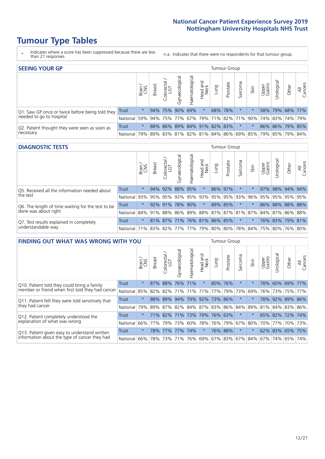# **Tumour Type Tables**

- \* Indicates where a score has been suppressed because there are less than 21 responses.
- n.a. Indicates that there were no respondents for that tumour group.

| <b>SEEING YOUR GP</b>                           |              |               |               |                   |                   |                |                  |      | <b>Tumour Group</b>                 |         |      |                 |                       |                                                 |                |
|-------------------------------------------------|--------------|---------------|---------------|-------------------|-------------------|----------------|------------------|------|-------------------------------------|---------|------|-----------------|-----------------------|-------------------------------------------------|----------------|
|                                                 |              | Brain.<br>CNS | <b>Breast</b> | Colorectal<br>LGT | ত<br>Gynaecologic | Haematological | Head and<br>Neck | Lung | Prostate                            | Sarcoma | Skin | Upper<br>Gastro | $\sigma$<br>Jrologica | Other                                           | All<br>Cancers |
| Q1. Saw GP once or twice before being told they | Trust        | $\star$       |               | 94% 75% 90% 69%   |                   |                | $\star$          |      | 68% 78%                             |         |      |                 |                       | 58% 79% 68% 77%                                 |                |
| needed to go to hospital                        | National 59% |               |               |                   |                   |                |                  |      | 94% 75% 77% 67% 79% 71% 82% 71% 90% |         |      |                 |                       | 74%   83%   74%   79%                           |                |
| Q2. Patient thought they were seen as soon as   | <b>Trust</b> | $\star$       |               |                   |                   |                |                  |      | 88% 86% 89% 84% 91% 82% 83%         | $\star$ |      |                 |                       | 86% 86% 79% 85%                                 |                |
| necessary                                       | National I   | 79%           |               |                   |                   |                |                  |      |                                     |         |      |                 |                       | 89% 83% 81% 82% 81% 84% 86% 69% 85% 79% 85% 79% | 84%            |

#### **DIAGNOSTIC TESTS** Tumour Group

|                                                   |                                                                  | Brain   | <b>Breast</b> | Colorectal<br>LGT           | Gynaecological | Haematological | Head and<br>Neck | Lung | Prostate | Sarcoma             | Skin | Upper<br>Gastro | rologica        | Other       | All<br>Cancers |
|---------------------------------------------------|------------------------------------------------------------------|---------|---------------|-----------------------------|----------------|----------------|------------------|------|----------|---------------------|------|-----------------|-----------------|-------------|----------------|
| Q5. Received all the information needed about     | Trust                                                            | $\star$ |               | 94% 92%                     | 88%            | 95%            | $\star$          |      | 86% 97%  |                     |      | 97%             |                 | 98% 94% 94% |                |
| the test                                          | National                                                         | 93%     |               | 95% 95%                     | 93%            |                |                  |      |          | 95% 93% 95% 95% 93% | 96%  | 95%             |                 | 95% 95% 95% |                |
| Q6. The length of time waiting for the test to be | Trust                                                            | $\star$ |               | $92\%$ 91%                  | 78%            | 90%            | $\star$          |      | 89% 85%  | $\star$             |      |                 | 86% 88% 88% 88% |             |                |
| done was about right                              | National 84% 91% 88% 86% 89% 88% 87% 87% 81% 87% 84% 87% 86% 88% |         |               |                             |                |                |                  |      |          |                     |      |                 |                 |             |                |
| Q7. Test results explained in completely          | Trust                                                            | $\star$ |               | 81% 87% 71% 76% 81% 86% 85% |                |                |                  |      |          | $\star$             |      |                 | 76% 83% 79% 81% |             |                |
| understandable way                                | National 71% 83% 82% 77% 77% 79% 80% 80% 78% 84% 75% 80% 76% 80% |         |               |                             |                |                |                  |      |          |                     |      |                 |                 |             |                |

| <b>FINDING OUT WHAT WAS WRONG WITH YOU</b>        |              |         |               |                       |                                 |                   |                        |                 | <b>Tumour Group</b> |         |         |                 |             |             |                |
|---------------------------------------------------|--------------|---------|---------------|-----------------------|---------------------------------|-------------------|------------------------|-----------------|---------------------|---------|---------|-----------------|-------------|-------------|----------------|
|                                                   |              | Brain   | <b>Breast</b> | olorectal<br>LGT<br>Ō | Gynaecological                  | aematologica<br>エ | ad and<br>Neck<br>Head | Lung            | Prostate            | Sarcoma | Skin    | Upper<br>Gastro | Urological  | Other       | All<br>Cancers |
| Q10. Patient told they could bring a family       | <b>Trust</b> | $\star$ | 87%           | 88%                   | 76%                             | 71%               | $\star$                | 80% 76%         |                     | $\ast$  | $\star$ | 78%             | 60%         | 69%         | 77%            |
| member or friend when first told they had cancer  | National     | 85%     | 82%           | 82%                   | 71%                             | 71%               | 71%                    | 77%             | 79%                 | 73%     | 69%     | 76%             | 73%         | 75%         | 77%            |
| Q11. Patient felt they were told sensitively that | Trust        | $\star$ |               | 88% 89%               | 94%                             |                   |                        | 79% 92% 73% 86% |                     | $\ast$  | $\star$ | 78%             | 92%         | 89%         | 86%            |
| they had cancer                                   | National     | 79%     |               |                       | 89% 87% 82% 84% 87% 83% 86% 84% |                   |                        |                 |                     |         | 89%     |                 |             | 81% 84% 83% | 86%            |
| Q12. Patient completely understood the            | Trust        | $\star$ | 71%           | 82%                   | 71%                             | 73% 79% 76% 63%   |                        |                 |                     | $\ast$  |         |                 | 65% 82% 72% |             | 74%            |
| explanation of what was wrong                     | National     |         | 66% 77%       | 79%                   | 73%                             | 60%               |                        | 78% 76% 79%     |                     | 67%     | 80%     | 70%             | 77%         |             | 70% 73%        |
| Q13. Patient given easy to understand written     | Trust        | $\star$ | 78%           | 77%                   | 77%                             | 74%               | $\star$                | 76% 88%         |                     | $\ast$  | $\star$ |                 | 62% 83%     | 65% 75%     |                |
| information about the type of cancer they had     | National     | 66%     | 78%           | 73%                   | 71%                             | 76%               |                        | 69%   67%   83% |                     |         | 67% 84% | 67%             | 74%         | 65%         | 74%            |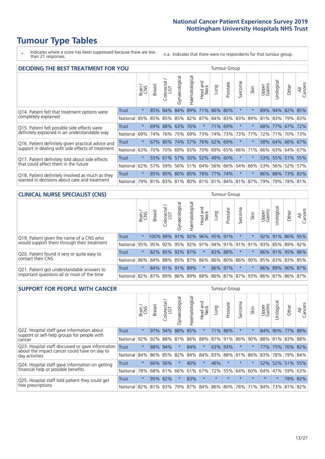# **Tumour Type Tables**

\* Indicates where a score has been suppressed because there are less than 21 responses.

n.a. Indicates that there were no respondents for that tumour group.

| <b>DECIDING THE BEST TREATMENT FOR YOU</b>         |              |         |               |                       |                |                |                             |             | <b>Tumour Group</b> |                                     |         |                 |                 |             |                |
|----------------------------------------------------|--------------|---------|---------------|-----------------------|----------------|----------------|-----------------------------|-------------|---------------------|-------------------------------------|---------|-----------------|-----------------|-------------|----------------|
|                                                    |              | Brain   | <b>Breast</b> | olorectal<br>LGT<br>Ũ | Gynaecological | Haematological | ad and<br>Neck<br>Head      | Lung        | Prostate            | Sarcoma                             | Skin    | Upper<br>Gastro | Jrological      | Other       | All<br>Cancers |
| Q14. Patient felt that treatment options were      | <b>Trust</b> | $\star$ | 85%           | 84%                   | 84%            |                | 89% 71% 86%                 |             | 80%                 | $\star$                             |         | 89%             |                 | 94% 82% 85% |                |
| completely explained                               | National     | 85%     | 85%           | 85%                   |                |                | 85% 82% 87%                 | 84% 83% 83% |                     |                                     | 89%     | 81%             | 83%             | 79% 83%     |                |
| Q15. Patient felt possible side effects were       | Trust        | $\star$ | 69%           | 88%                   |                | 63% 76%        | $\star$                     |             | 71% 69%             | $\star$                             |         | 68%             | 77% 67% 72%     |             |                |
| definitely explained in an understandable way      | National     | 69%     | 74%           | 76%                   |                | 75% 69%        | 73%                         |             | 74% 73%             | 73%                                 | 77%     | 72%             | 71%             | 70% 73%     |                |
| Q16. Patient definitely given practical advice and | Trust        | $\star$ | 67%           | $80\%$                |                |                | 74% 57% 76% 62% 69%         |             |                     | $\ast$                              | $\star$ |                 | 58% 64% 66% 67% |             |                |
| support in dealing with side effects of treatment  | National     | 63%     | 70%           | 70%                   |                |                | 69% 65% 70% 69% 65%         |             |                     | 66%                                 | 71%     | 66%             | 63% 64% 67%     |             |                |
| Q17. Patient definitely told about side effects    | Trust        | $\star$ |               |                       |                |                | 55% 61% 57% 50% 52% 49% 60% |             |                     | $\star$                             | $\star$ |                 | 53% 55% 51% 55% |             |                |
| that could affect them in the future               | National     | 62%     | 57%           | 59%                   |                |                | 56% 51% 64% 56% 66%         |             |                     | 54%                                 | 66%     | 53%             |                 | 56% 52%     | 57%            |
| Q18. Patient definitely involved as much as they   | Trust        | $\star$ |               |                       |                |                | 85% 90% 80% 85% 78% 77% 74% |             |                     | $\star$                             |         |                 | 86% 88% 73% 83% |             |                |
| wanted in decisions about care and treatment       | National     | 79%     |               |                       |                |                |                             |             |                     | 81% 83% 81% 80% 81% 81% 84% 81% 87% |         | 79%             |                 | 79% 78% 81% |                |

#### **CLINICAL NURSE SPECIALIST (CNS)** Tumour Group

|                                             |          | Brain   | <b>Breast</b>   | olorectal<br>LGT<br>$\cup$ | aecologica<br>ĞŘ | $\overline{\sigma}$<br>O<br>aematologi | Head and<br>Neck | Lung    | Prostate | Sarcoma  | Skin   | Upper<br>Gastro                             | $\sigma$<br>rologica | Other                                               | All<br>ancers<br>$\cup$ |
|---------------------------------------------|----------|---------|-----------------|----------------------------|------------------|----------------------------------------|------------------|---------|----------|----------|--------|---------------------------------------------|----------------------|-----------------------------------------------------|-------------------------|
| Q19. Patient given the name of a CNS who    | Trust    | $\star$ |                 | 100% 99%                   | 91%              |                                        | 92% 96% 95% 97%  |         |          | $^\star$ |        | 92%                                         | 91%                  | 86% 95%                                             |                         |
| would support them through their treatment  | National |         |                 |                            |                  |                                        |                  |         |          |          |        |                                             |                      | 95% 95% 92% 95% 92% 91% 94% 91% 91% 91% 93% 85% 89% | 92%                     |
| Q20. Patient found it very or quite easy to | Trust    | $\star$ |                 |                            | 82% 85% 92% 87%  |                                        | $\star$          | 83% 88% |          | $\ast$   | $\ast$ |                                             |                      | 86% 91% 95% 86%                                     |                         |
| contact their CNS                           | National |         |                 |                            |                  |                                        |                  |         |          |          |        | 86% 84% 88% 85% 87% 86% 86% 80% 86% 90% 85% |                      | 83% 83%                                             | 85%                     |
| Q21. Patient got understandable answers to  | Trust    | $\star$ |                 | 84% 91%                    | 91%              | 89%                                    | $\star$          | 86% 97% |          | $\star$  |        |                                             |                      | 86% 89% 90%                                         | 87%                     |
| important questions all or most of the time | National |         | 82% 87% 89% 86% |                            |                  |                                        |                  |         |          |          |        |                                             |                      | 89%   88%   86%   87%   87%   93%   86%   87%   86% | 87%                     |

| <b>SUPPORT FOR PEOPLE WITH CANCER</b>                                                             |              |         |               |            |                |                |                        |             | Tumour Group |                  |         |                 |             |             |                |
|---------------------------------------------------------------------------------------------------|--------------|---------|---------------|------------|----------------|----------------|------------------------|-------------|--------------|------------------|---------|-----------------|-------------|-------------|----------------|
|                                                                                                   |              | Brain   | <b>Breast</b> | Colorectal | Gynaecological | Haematological | ad and<br>Neck<br>Head | <b>Dung</b> | Prostate     | arcoma<br>$\sim$ | Skin    | Upper<br>Gastro | Jrological  | Other       | All<br>Cancers |
| Q22. Hospital staff gave information about<br>support or self-help groups for people with         | <b>Trust</b> | $\star$ | 97%           | 94%        | 88%            | 85%            | $\star$                | 71%         | 88%          | $\star$          | $\star$ | 84%             | 90%         | 77%         | 88%            |
| cancer                                                                                            | National     | 92%     | 92%           | 88%        | 87%            | 86%            | 88%                    |             | 87% 91%      | 86%              | 90%     | 88%             | 81%         | 83%         | 88%            |
| Q23. Hospital staff discussed or gave information<br>about the impact cancer could have on day to | Trust        | $\star$ | 88%           | 94%        | $\star$        | 84%            | $\star$                | 63%         | 93%          | $\star$          |         | 77%             |             | 75% 76% 82% |                |
| day activities                                                                                    | National     | 84%     | 86%           | 85%        | 82%            | 84%            | 84%                    | 83%         | 88%          | 81%              | 86%     | 83%             |             | 78% 79%     | 84%            |
| Q24. Hospital staff gave information on getting                                                   | Trust        | $\star$ | 66%           | 56%        | $\star$        | 40%            | $\star$                | 46%         | $\star$      | $\star$          | $\star$ |                 | 52% 52% 51% |             | 55%            |
| financial help or possible benefits                                                               | National     | 78%     |               | 68% 61%    | 66%            | 61%            | 67%                    | 72%         | 55%          | 64%              | 60%     | 64%             | 47%         | 59%         | 63%            |
| Q25. Hospital staff told patient they could get                                                   | Trust        | $\star$ |               | 95% 82%    | $\star$        | 83%            | $\star$                | $\star$     | $\star$      | $\star$          | $\star$ | $\star$         | $\star$     |             | 78% 82%        |
| free prescriptions                                                                                | National     | 82%     |               | 81% 83%    | 79%            | 87%            |                        | 84% 86% 80% |              | 78%              | 71%     | $ 84\% $        | 73%         | 81%         | 82%            |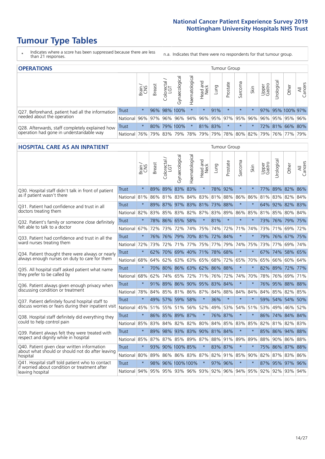# **Tumour Type Tables**

- \* Indicates where a score has been suppressed because there are less than 21 responses.
- n.a. Indicates that there were no respondents for that tumour group.

| <b>OPERATIONS</b>                                |              |            |               |                   |                |                |                  |         | Tumour Group |                     |      |                 |                                                                 |       |                |
|--------------------------------------------------|--------------|------------|---------------|-------------------|----------------|----------------|------------------|---------|--------------|---------------------|------|-----------------|-----------------------------------------------------------------|-------|----------------|
|                                                  |              | Brain      | <b>Breast</b> | Colorectal<br>LGT | Gynaecological | Haematological | Head and<br>Neck | Lung    | Prostate     | Sarcoma             | Skin | Upper<br>Gastro | ক<br>Irologica                                                  | Other | All<br>Cancers |
| Q27. Beforehand, patient had all the information | Trust        | $^\star$   |               |                   | 96% 98% 100%   | $^\star$       | $\star$          | 91%     | $\star$      | $\star$             |      |                 | 97% 95% 100% 97%                                                |       |                |
| needed about the operation                       | National     | $96\%$     |               | 97% 96%           | $ 96\% 94\% $  |                |                  |         |              | 96% 95% 97% 95% 96% |      |                 | 96% 95% 95% 96%                                                 |       |                |
| Q28. Afterwards, staff completely explained how  | <b>Trust</b> | $\star$    |               |                   | 80% 79% 100%   | $\star$        |                  | 81% 83% | $\star$      | $\star$             |      |                 | 72% 81% 66% 80%                                                 |       |                |
| operation had gone in understandable way         | National I   | <b>76%</b> |               | 79% 83%           |                |                |                  |         |              |                     |      |                 | 79%   78%   79%   79%   78%   80%   82%   79%   76%   77%   79% |       |                |

#### **HOSPITAL CARE AS AN INPATIENT** Tumour Group

|                                                                                                  |              | Brain   | Breast | Colorectal /<br>LGT | Gynaecological  | Haematological              | Head and<br>Neck | Lung     | Prostate | Sarcoma | Skin    | Upper<br>Gastro | Urological                                          | Other       | All<br>Cancers |
|--------------------------------------------------------------------------------------------------|--------------|---------|--------|---------------------|-----------------|-----------------------------|------------------|----------|----------|---------|---------|-----------------|-----------------------------------------------------|-------------|----------------|
| Q30. Hospital staff didn't talk in front of patient                                              | <b>Trust</b> | $\star$ | 89%    |                     | 89% 83% 83%     |                             | $\star$          | 78%      | 92%      | $\star$ | $\star$ |                 | 77% 89% 82% 86%                                     |             |                |
| as if patient wasn't there                                                                       | National     | 81%     | 86%    | 81%                 | 83%             | 84%                         |                  | 83% 81%  | 88%      | 86%     | 86%     |                 | 81% 83%                                             | 82%         | 84%            |
| Q31. Patient had confidence and trust in all                                                     | Trust        | $\star$ | 89%    | 87%                 | 97%             | 83% 81% 73%                 |                  |          | 88%      | $\star$ | $\star$ |                 | 64% 92% 82% 83%                                     |             |                |
| doctors treating them                                                                            | National     | 82%     |        | 83% 85%             |                 | 83% 82% 87% 83% 89%         |                  |          |          | 86%     | 85%     |                 | 81% 85% 80% 84%                                     |             |                |
| Q32. Patient's family or someone close definitely                                                | <b>Trust</b> | $\star$ |        |                     | 78% 86% 65% 58% |                             | $\star$          | 81%      | $\star$  | $\star$ | $\star$ |                 | 73% 76% 79% 75%                                     |             |                |
| felt able to talk to a doctor                                                                    | National     | 67%     | 72%    | 73%                 |                 | 72% 74% 75%                 |                  | $ 74\% $ | 72%      | 71%     | 74%     |                 | 73% 71%                                             | 69% 72%     |                |
| Q33. Patient had confidence and trust in all the                                                 | <b>Trust</b> | $\star$ |        |                     |                 | 76% 76% 79% 70% 81% 72%     |                  |          | 84%      | $\star$ | $\star$ |                 | 79% 76% 67% 75%                                     |             |                |
| ward nurses treating them                                                                        | National     | 72%     | 73%    | 72%                 | 71%             | 77%                         |                  | 75% 77%  | 79%      | 74%     | 75%     | 73%             | 77%                                                 | 69%         | 74%            |
| Q34. Patient thought there were always or nearly                                                 | <b>Trust</b> | $\star$ | 62%    | 70%                 | 69%             | 40% 71% 78%                 |                  |          | 68%      | $\star$ | $\star$ | 67%             | 74%                                                 | 58% 65%     |                |
| always enough nurses on duty to care for them                                                    | National     | 68%     | 64%    | 62%                 | 63%             | 63%                         | 65%              | 68%      | 72%      | 65%     | 70%     | 65%             | 66%                                                 | 60%         | 64%            |
| Q35. All hospital staff asked patient what name                                                  | Trust        | $\star$ |        |                     |                 | 70% 80% 86% 63% 62% 86% 88% |                  |          |          | $\star$ | $\star$ |                 | 82% 89% 72% 77%                                     |             |                |
| they prefer to be called by                                                                      | National     | 68%     | 62%    |                     | 74% 65%         | 72%                         | 71%              | 76%      | 72%      | 74%     | 70%     | 78%             | 76%                                                 | 69%         | 71%            |
| Q36. Patient always given enough privacy when                                                    | Trust        | $\star$ |        | 91% 89%             | 86%             | 90% 95% 83%                 |                  |          | 84%      | $\star$ | $\star$ |                 | 76% 95% 88% 88%                                     |             |                |
| discussing condition or treatment                                                                | National     | 78%     |        | 84% 85%             |                 | 81% 86% 87% 84%             |                  |          | 88%      | 84%     | 84%     |                 | 84% 85%                                             | 82% 85%     |                |
| Q37. Patient definitely found hospital staff to                                                  | <b>Trust</b> | $\star$ | 49%    | 57%                 |                 | 59% 58%                     | $\star$          | 36%      | $\star$  | $\star$ | $\star$ |                 | 59% 54%                                             | 54%         | 50%            |
| discuss worries or fears during their inpatient visit                                            | National     | 45%     |        |                     |                 | 51% 55% 51% 56% 52%         |                  | 49%      | 53%      |         | 54% 51% |                 | 53% 49% 46% 52%                                     |             |                |
| Q38. Hospital staff definitely did everything they                                               | <b>Trust</b> | $\star$ |        |                     | 86% 85% 89% 87% |                             | $\star$          |          | 76% 87%  | $\star$ | $\star$ | 86%             | 74% 84% 84%                                         |             |                |
| could to help control pain                                                                       | National     | 85%     | 83%    | 84%                 | 82%             |                             | 82% 80%          | 84%      | 85%      | 83%     | 85%     | 82%             |                                                     | 81% 82% 83% |                |
| Q39. Patient always felt they were treated with                                                  | Trust        | $\star$ | 89%    |                     |                 | 98% 93% 83% 90% 81% 84%     |                  |          |          | $\star$ | $\star$ |                 | 85% 86% 94% 88%                                     |             |                |
| respect and dignity while in hospital                                                            | National     | 85%     | 87%    |                     |                 | 87% 85% 89% 87% 88% 91%     |                  |          |          | 89%     | 89%     | 88%             |                                                     | 90% 86% 88% |                |
| Q40. Patient given clear written information<br>about what should or should not do after leaving | <b>Trust</b> | $\star$ | 93%    |                     | 90% 100% 85%    |                             | $\ast$           |          | 83% 87%  | $\star$ | $\star$ |                 | 75% 86% 87% 88%                                     |             |                |
| hospital                                                                                         | National 80% |         | 89%    |                     |                 | 86% 86% 83% 87% 82% 91%     |                  |          |          | 85%     | 90%     |                 | 82% 87% 83% 86%                                     |             |                |
| Q41. Hospital staff told patient who to contact<br>if worried about condition or treatment after | <b>Trust</b> | $\star$ | 98%    |                     |                 | 96% 100% 100%               | $\star$          |          | 97% 96%  | $\star$ | $\star$ |                 | 87% 95% 97% 96%                                     |             |                |
| leaving hospital                                                                                 | National 94% |         |        |                     |                 |                             |                  |          |          |         |         |                 | 95% 95% 93% 96% 93% 92% 96% 94% 95% 92% 92% 93% 94% |             |                |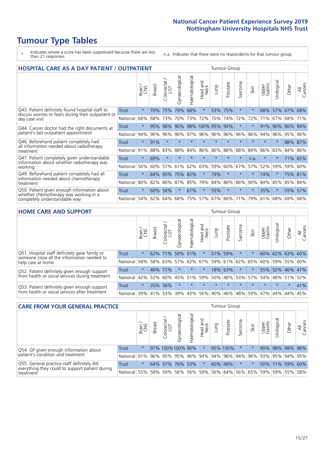# **Tumour Type Tables**

- \* Indicates where a score has been suppressed because there are less than 21 responses.
- n.a. Indicates that there were no respondents for that tumour group.

| <b>HOSPITAL CARE AS A DAY PATIENT / OUTPATIENT</b>                                                     |              |         |               |                                                          |                |                |                     |              | <b>Tumour Group</b> |         |         |                 |            |         |                |
|--------------------------------------------------------------------------------------------------------|--------------|---------|---------------|----------------------------------------------------------|----------------|----------------|---------------------|--------------|---------------------|---------|---------|-----------------|------------|---------|----------------|
|                                                                                                        |              | Brain   | <b>Breast</b> | $\overline{\phantom{0}}$<br>olorectal /<br>LGT<br>$\cup$ | Gynaecological | Haematological | and<br>Neck<br>Head | Dung         | Prostate            | Sarcoma | Skin    | Upper<br>Gastro | Urological | Other   | All<br>Cancers |
| Q43. Patient definitely found hospital staff to<br>discuss worries or fears during their outpatient or | <b>Trust</b> | $\star$ | 70%           | 75%                                                      | 79%            | 68%            | $\star$             | 53%          | 75%                 | $\star$ | $\ast$  | 68%             | 57%        | 67%     | 68%            |
| day case visit                                                                                         | National     | 66%     | 68%           | 73%                                                      | 70%            | 73%            | 72%                 | 70%          | 74%                 | 72%     | 72%     | 71%             | 67%        | 68%     | 71%            |
| Q44. Cancer doctor had the right documents at                                                          | Trust        | $\star$ | 95%           | 98%                                                      | 90%            |                |                     | 98% 100% 95% | 94%                 | $\star$ |         | 91%             | 90%        | 86%     | 94%            |
| patient's last outpatient appointment                                                                  | National     | 94%     | 96%           | 96%                                                      | 96%            | 97%            |                     | 96% 96%      | 96%                 | 96%     | 96%     | 94%             |            | 96% 95% | 96%            |
| Q46. Beforehand patient completely had                                                                 | <b>Trust</b> | $\star$ | 91%           | $\star$                                                  | $\star$        | $\star$        | $\star$             | $\star$      | $\star$             | $\star$ | $\star$ | $\star$         | $\star$    |         | 88% 87%        |
| all information needed about radiotherapy<br>treatment                                                 | National     | 91%     | 88%           | 83%                                                      | 88%            | 84%            | 86%                 | 86%          | 88%                 | 88%     | 84%     | 86%             | 83%        | 84% 86% |                |
| Q47. Patient completely given understandable                                                           | Trust        | $\star$ | 69%           | $\star$                                                  |                |                | $\star$             | $\star$      | $\star$             | 大       | n.a.    | $^\star$        |            | 71%     | 65%            |
| information about whether radiotherapy was<br>working                                                  | National     | 56%     | 60%           | 57%                                                      | 61%            | 62%            | 63%                 | 59%          | 60%                 | 67%     | 57%     | 52%             | 59%        | 59%     | 60%            |
| Q49. Beforehand patient completely had all                                                             | <b>Trust</b> | $\star$ | 84%           | 95%                                                      | 75%            | 82%            | $\star$             | 79%          | $\star$             | $\star$ | $\star$ | 74%             | $\star$    |         | 75% 81%        |
| information needed about chemotherapy<br>treatment                                                     | National     | 80%     | 82%           | 86%                                                      | 87%            | 85%            | 79%                 | 84%          | 86%                 | 86%     | 90%     | 84%             | 85%        | 85%     | 84%            |
| Q50. Patient given enough information about<br>whether chemotherapy was working in a                   | <b>Trust</b> | $\star$ | 60%           | 58%                                                      | $\star$        | 67%            | $\star$             | 55%          | $\star$             | $\star$ | $\star$ | 35%             | $\star$    | 55%     | 57%            |
| completely understandable way                                                                          | National     | 54%     | 62%           | 64%                                                      | 68%            | 75%            |                     | 57% 67%      | 66%                 | 71%     | 79%     | 61%             | 68%        | 69%     | 68%            |

#### **HOME CARE AND SUPPORT** Tumour Group

|                                                                                                                   |              | Brain   | Breast  | Colorectal<br>LGT | ᢛ<br>Gynaecologic | Haematological | Head and<br>Neck | <b>Lung</b>                 | Prostate | Sarcoma | Skin    | Upper<br>Gastro | Urological  | Other           | All<br>Cancers |
|-------------------------------------------------------------------------------------------------------------------|--------------|---------|---------|-------------------|-------------------|----------------|------------------|-----------------------------|----------|---------|---------|-----------------|-------------|-----------------|----------------|
| Q51. Hospital staff definitely gave family or<br>someone close all the information needed to<br>help care at home | <b>Trust</b> | $\star$ |         | 62% 71%           |                   | 59% 51%        | $\star$          | 51%                         | 59%      | $\ast$  |         | 60%             |             | 62% 63% 60%     |                |
|                                                                                                                   | National     | 58%     |         | 58% 63%           |                   |                |                  | 57% 62% 67% 59% 61% 62% 65% |          |         |         |                 |             | 60% 59% 55% 60% |                |
| Q52. Patient definitely given enough support<br>from health or social services during treatment                   | Trust        | $\star$ | 46% 71% |                   | $\star$           | $\star$        | $\star$          |                             | 18% 63%  | $\ast$  |         |                 |             | 55% 52% 46% 47% |                |
|                                                                                                                   | National     | 42%     | 52%     | 60%               |                   | 45% 51%        | 59%              | 50%                         | 48%      |         | 53% 57% |                 | 54% 48% 51% |                 | 52%            |
| Q53. Patient definitely given enough support<br>from health or social services after treatment                    | Trust        | $\star$ |         | 35% 56%           | $\star$           | $\star$        | $\star$          | $\star$                     | $\star$  | $\star$ | $\star$ | $\star$         | $\star$     | $\star$         | 41%            |
|                                                                                                                   | National     | 39%     | 41% 53% |                   | 39%               | $ 43\% $       | 56%              | 40%                         | 46%      |         | 48% 59% | 47%             | 44%         | 44%             | 45%            |

| <b>CARE FROM YOUR GENERAL PRACTICE</b>                                                                     |              |         |               |                   |                |                |                  | <b>Tumour Group</b> |                                     |         |                         |                 |                                  |       |                |  |
|------------------------------------------------------------------------------------------------------------|--------------|---------|---------------|-------------------|----------------|----------------|------------------|---------------------|-------------------------------------|---------|-------------------------|-----------------|----------------------------------|-------|----------------|--|
|                                                                                                            |              | Brain,  | <b>Breast</b> | ー<br>Colorectal   | Gynaecological | Haematological | Head and<br>Neck | Lung                | Prostate                            | Sarcoma | Skin                    | Upper<br>Gastro | $\overline{\sigma}$<br>Urologica | Other | All<br>Cancers |  |
| Q54. GP given enough information about<br>patient's condition and treatment                                | Trust        | $\star$ |               | 97% 100% 100% 90% |                |                | $\star$          |                     | 95% 100%                            |         |                         |                 | 90% 98% 98% 96%                  |       |                |  |
|                                                                                                            | National 91% |         |               |                   |                |                |                  |                     | 96% 95% 95% 96% 94% 94% 96% 94% 96% |         |                         |                 | 93% 95% 94% 95%                  |       |                |  |
| Q55. General practice staff definitely did<br>everything they could to support patient during<br>treatment | <b>Trust</b> | $\star$ |               | 64% 57% 76% 53%   |                |                | $\star$          |                     | 60% 48%                             | $\star$ | $\star$                 |                 | 50% 71% 59% 60%                  |       |                |  |
|                                                                                                            | National 55% |         |               | 58% 59%           | 56%            |                |                  |                     | 56% 59% 56% 64%                     |         | 56% 65% 59% 59% 55% 58% |                 |                                  |       |                |  |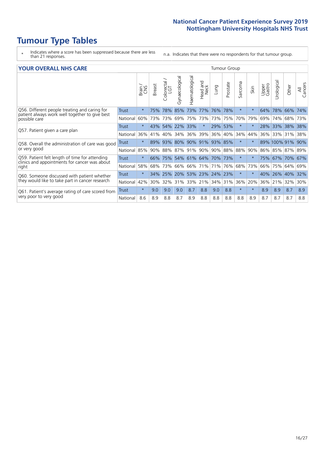# **Tumour Type Tables**

- \* Indicates where a score has been suppressed because there are less than 21 responses.
- n.a. Indicates that there were no respondents for that tumour group.

#### **YOUR OVERALL NHS CARE** THE TWO CONTROLLER THE THE THEORY OF THE THEORY OF THE TUMOUR Group

|                                                                                                          |              | Brain<br>CNS | Breast | Colorectal | Gynaecological | Haematological | Head and<br>Neck    | Lung    | Prostate | Sarcoma | Skin     | Upper<br>Gastro | Urologica | Other           | All<br>Cancers |
|----------------------------------------------------------------------------------------------------------|--------------|--------------|--------|------------|----------------|----------------|---------------------|---------|----------|---------|----------|-----------------|-----------|-----------------|----------------|
| Q56. Different people treating and caring for                                                            | <b>Trust</b> | $\star$      | 75%    | 78%        | 85%            | 73%            | 77%                 | 76%     | 78%      | $\star$ | $\star$  | 64%             | 78%       | 66%             | 74%            |
| patient always work well together to give best<br>possible care                                          | National     | 60%          |        | 73% 73%    | 69%            | 75%            | 73%                 | 73%     | 75%      | 70%     | 79%      | 69%             | 74%       | 68%             | 73%            |
| Q57. Patient given a care plan                                                                           | <b>Trust</b> | $\star$      |        | 43% 54%    | 22% 33%        |                | $\star$             | 29% 53% |          | $\star$ | $\ast$   | 28% 33%         |           | 38% 38%         |                |
|                                                                                                          | National     | 36%          | 41%    | 40%        | 34%            | 36%            | 39%                 | 36%     | 40%      | 34%     | 44%      | 36%             | 33%       | 31%             | 38%            |
| Q58. Overall the administration of care was good<br>or very good                                         | Trust        | $\star$      | 89%    | 93%        |                | 80% 90%        | 91%                 | 93% 85% |          | $\star$ | $^\star$ |                 |           | 89% 100% 91%    | 90%            |
|                                                                                                          | National     | 85%          |        | 90% 88%    |                | 87% 91%        | 90%                 |         | 90% 88%  | 88%     | 90%      |                 |           | 86% 85% 87% 89% |                |
| Q59. Patient felt length of time for attending<br>clinics and appointments for cancer was about<br>right | Trust        | $\star$      | 66%    | 75%        |                |                | 54% 61% 64% 70% 73% |         |          | $\star$ | $\ast$   | 75% 67%         |           | 70% 67%         |                |
|                                                                                                          | National     | 58%          | 68%    | 73%        | 66%            | 66%            | 71%                 | 71%     | 76%      | 68%     | 73%      | 66%             | 75%       | 64%             | 69%            |
| Q60. Someone discussed with patient whether<br>they would like to take part in cancer research           | Trust        | $\star$      | 34%    | 25%        | 20%            | 53%            | 23% 24% 23%         |         |          | $\star$ | $\star$  | 40%             | 26%       | 40%             | 32%            |
|                                                                                                          | National     | 42%          | $30\%$ | 32%        | 31%            | 33%            | 21%                 | 34%     | 31%      | 36%     | 20%      | 36%             | 21%       | 32%             | 30%            |
| Q61. Patient's average rating of care scored from<br>very poor to very good                              | Trust        | $\star$      | 9.0    | 9.0        | 9.0            | 8.7            | 8.8                 | 9.0     | 8.8      | $\star$ | $\star$  | 8.9             | 8.9       | 8.7             | 8.9            |
|                                                                                                          | National     | 8.6          | 8.9    | 8.8        | 8.7            | 8.9            | 8.8                 | 8.8     | 8.8      | 8.8     | 8.9      | 8.7             | 8.7       | 8.7             | 8.8            |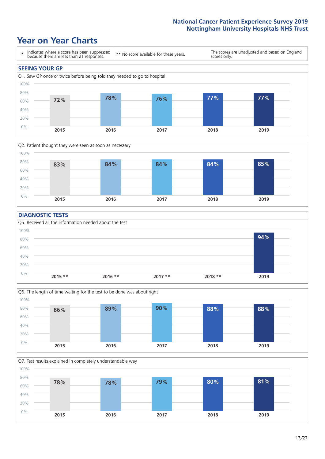## **Year on Year Charts**





#### **DIAGNOSTIC TESTS**





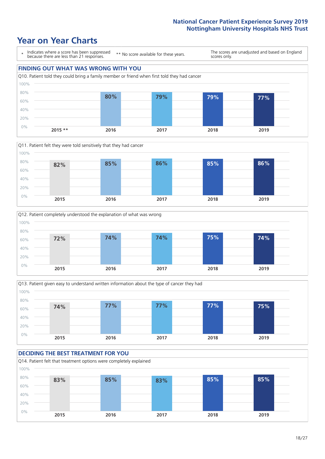## **Year on Year Charts**









#### **DECIDING THE BEST TREATMENT FOR YOU** Q14. Patient felt that treatment options were completely explained 0% 20% 40% 60% 80% 100% **2015 2016 2017 2018 2019 83% 85% 83% 85% 85%**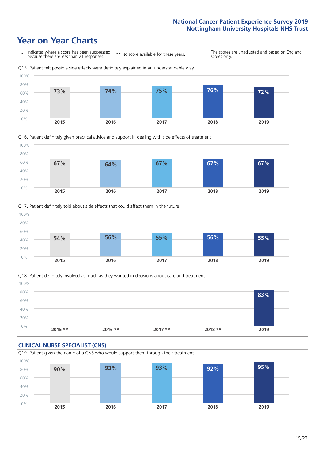### **Year on Year Charts**







Q18. Patient definitely involved as much as they wanted in decisions about care and treatment  $0%$ 20% 40% 60% 80% 100% **2015 \*\* 2016 \*\* 2017 \*\* 2018 \*\* 2019 83%**

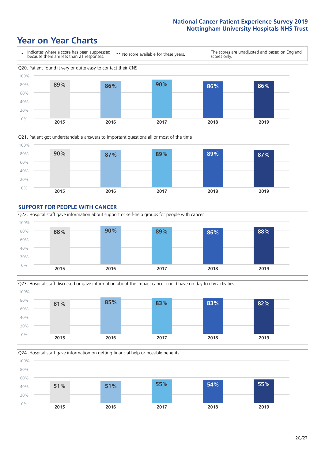### **Year on Year Charts**









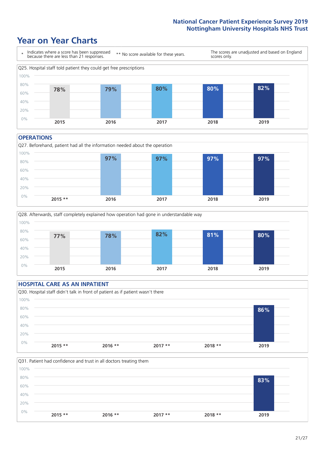### **Year on Year Charts**



#### **OPERATIONS**







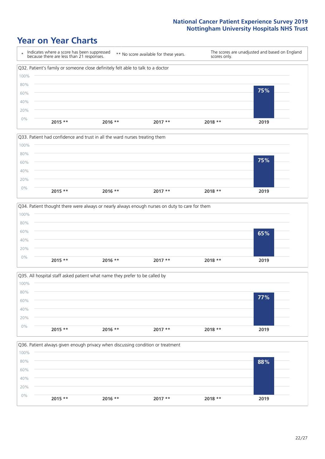### **Year on Year Charts**









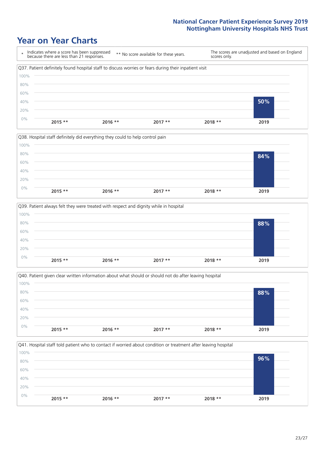### **Year on Year Charts**









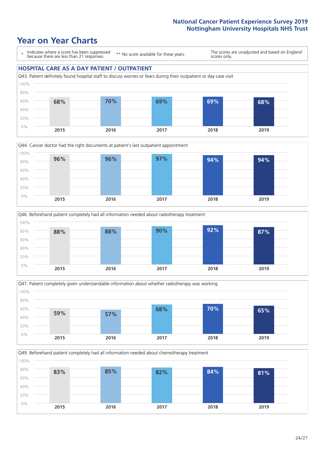### **Year on Year Charts**

\* Indicates where a score has been suppressed because there are less than 21 responses.

\*\* No score available for these years.

The scores are unadjusted and based on England scores only.

#### **HOSPITAL CARE AS A DAY PATIENT / OUTPATIENT**









Q49. Beforehand patient completely had all information needed about chemotherapy treatment 0% 20% 40% 60% 80% 100% **2015 2016 2017 2018 2019 83% 85% 82% 84% 81%**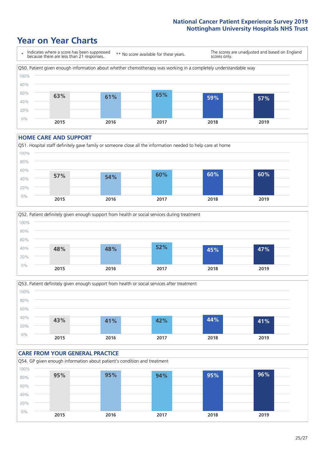## **Year on Year Charts**



#### **HOME CARE AND SUPPORT**







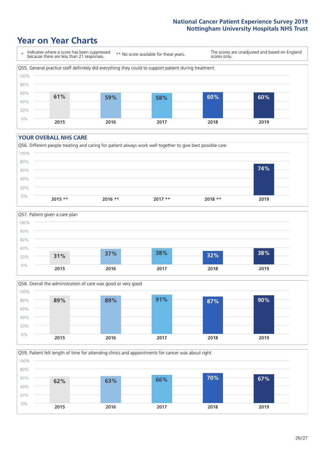### **Year on Year Charts**



#### **YOUR OVERALL NHS CARE**







Q59. Patient felt length of time for attending clinics and appointments for cancer was about right 0% 20% 40% 60% 80% 100% **2015 2016 2017 2018 2019 62% 63% 66% 70% 67%**